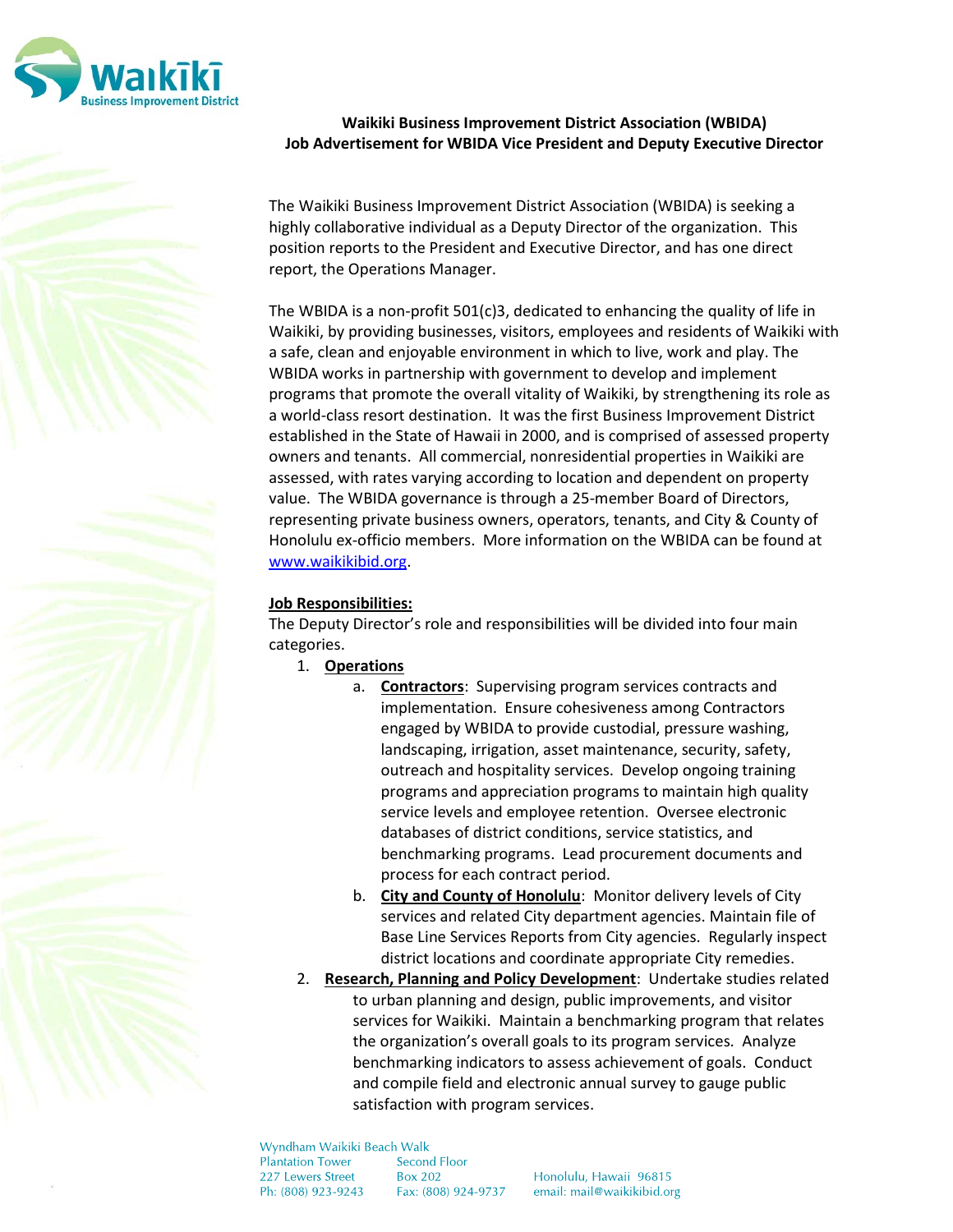

# Waikiki Business Improvement District Association (WBIDA) Job Advertisement for WBIDA Vice President and Deputy Executive Director

The Waikiki Business Improvement District Association (WBIDA) is seeking a highly collaborative individual as a Deputy Director of the organization. This position reports to the President and Executive Director, and has one direct report, the Operations Manager.

The WBIDA is a non-profit 501(c)3, dedicated to enhancing the quality of life in Waikiki, by providing businesses, visitors, employees and residents of Waikiki with a safe, clean and enjoyable environment in which to live, work and play. The WBIDA works in partnership with government to develop and implement programs that promote the overall vitality of Waikiki, by strengthening its role as a world-class resort destination. It was the first Business Improvement District established in the State of Hawaii in 2000, and is comprised of assessed property owners and tenants. All commercial, nonresidential properties in Waikiki are assessed, with rates varying according to location and dependent on property value. The WBIDA governance is through a 25-member Board of Directors, representing private business owners, operators, tenants, and City & County of Honolulu ex-officio members. More information on the WBIDA can be found at www.waikikibid.org.

# Job Responsibilities:

The Deputy Director's role and responsibilities will be divided into four main categories.

- 1. Operations
	- a. Contractors: Supervising program services contracts and implementation. Ensure cohesiveness among Contractors engaged by WBIDA to provide custodial, pressure washing, landscaping, irrigation, asset maintenance, security, safety, outreach and hospitality services. Develop ongoing training programs and appreciation programs to maintain high quality service levels and employee retention. Oversee electronic databases of district conditions, service statistics, and benchmarking programs. Lead procurement documents and process for each contract period.
	- b. City and County of Honolulu: Monitor delivery levels of City services and related City department agencies. Maintain file of Base Line Services Reports from City agencies. Regularly inspect district locations and coordinate appropriate City remedies.
- 2. Research, Planning and Policy Development: Undertake studies related to urban planning and design, public improvements, and visitor services for Waikiki. Maintain a benchmarking program that relates the organization's overall goals to its program services. Analyze benchmarking indicators to assess achievement of goals. Conduct and compile field and electronic annual survey to gauge public satisfaction with program services.

Wyndham Waikiki Beach Walk **Plantation Tower Second Floor** 227 Lewers Street **Box 202** Ph: (808) 923-9243 Fax: (808) 924-9737